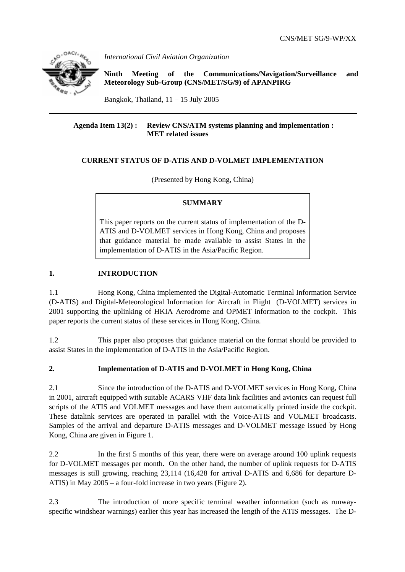

*International Civil Aviation Organization* 

**Ninth Meeting of the Communications/Navigation/Surveillance and Meteorology Sub-Group (CNS/MET/SG/9) of APANPIRG**

Bangkok, Thailand,  $11 - 15$  July 2005

#### **Agenda Item 13(2) : Review CNS/ATM systems planning and implementation : MET related issues**

# **CURRENT STATUS OF D-ATIS AND D-VOLMET IMPLEMENTATION**

(Presented by Hong Kong, China)

### **SUMMARY**

This paper reports on the current status of implementation of the D-ATIS and D-VOLMET services in Hong Kong, China and proposes that guidance material be made available to assist States in the implementation of D-ATIS in the Asia/Pacific Region.

# **1. INTRODUCTION**

1.1 Hong Kong, China implemented the Digital-Automatic Terminal Information Service (D-ATIS) and Digital-Meteorological Information for Aircraft in Flight (D-VOLMET) services in 2001 supporting the uplinking of HKIA Aerodrome and OPMET information to the cockpit. This paper reports the current status of these services in Hong Kong, China.

1.2 This paper also proposes that guidance material on the format should be provided to assist States in the implementation of D-ATIS in the Asia/Pacific Region.

# **2. Implementation of D-ATIS and D-VOLMET in Hong Kong, China**

2.1 Since the introduction of the D-ATIS and D-VOLMET services in Hong Kong, China in 2001, aircraft equipped with suitable ACARS VHF data link facilities and avionics can request full scripts of the ATIS and VOLMET messages and have them automatically printed inside the cockpit. These datalink services are operated in parallel with the Voice-ATIS and VOLMET broadcasts. Samples of the arrival and departure D-ATIS messages and D-VOLMET message issued by Hong Kong, China are given in Figure 1.

2.2 In the first 5 months of this year, there were on average around 100 uplink requests for D-VOLMET messages per month. On the other hand, the number of uplink requests for D-ATIS messages is still growing, reaching 23,114 (16,428 for arrival D-ATIS and 6,686 for departure D-ATIS) in May 2005 – a four-fold increase in two years (Figure 2).

2.3 The introduction of more specific terminal weather information (such as runwayspecific windshear warnings) earlier this year has increased the length of the ATIS messages. The D-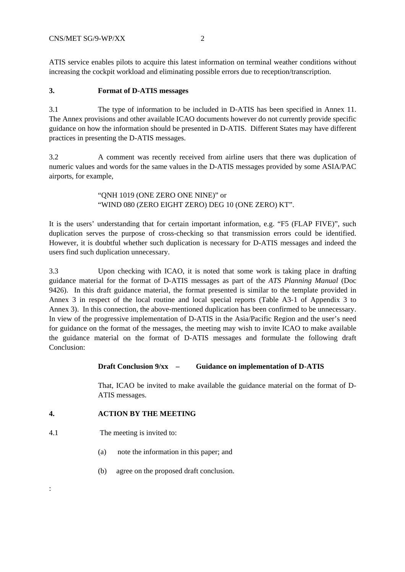ATIS service enables pilots to acquire this latest information on terminal weather conditions without increasing the cockpit workload and eliminating possible errors due to reception/transcription.

#### **3. Format of D-ATIS messages**

3.1 The type of information to be included in D-ATIS has been specified in Annex 11. The Annex provisions and other available ICAO documents however do not currently provide specific guidance on how the information should be presented in D-ATIS. Different States may have different practices in presenting the D-ATIS messages.

3.2 A comment was recently received from airline users that there was duplication of numeric values and words for the same values in the D-ATIS messages provided by some ASIA/PAC airports, for example,

> "QNH 1019 (ONE ZERO ONE NINE)" or "WIND 080 (ZERO EIGHT ZERO) DEG 10 (ONE ZERO) KT".

It is the users' understanding that for certain important information, e.g. "F5 (FLAP FIVE)", such duplication serves the purpose of cross-checking so that transmission errors could be identified. However, it is doubtful whether such duplication is necessary for D-ATIS messages and indeed the users find such duplication unnecessary.

3.3 Upon checking with ICAO, it is noted that some work is taking place in drafting guidance material for the format of D-ATIS messages as part of the *ATS Planning Manual* (Doc 9426). In this draft guidance material, the format presented is similar to the template provided in Annex 3 in respect of the local routine and local special reports (Table A3-1 of Appendix 3 to Annex 3). In this connection, the above-mentioned duplication has been confirmed to be unnecessary. In view of the progressive implementation of D-ATIS in the Asia/Pacific Region and the user's need for guidance on the format of the messages, the meeting may wish to invite ICAO to make available the guidance material on the format of D-ATIS messages and formulate the following draft Conclusion:

#### **Draft Conclusion 9/xx – Guidance on implementation of D-ATIS**

That, ICAO be invited to make available the guidance material on the format of D-ATIS messages.

### **4. ACTION BY THE MEETING**

4.1 The meeting is invited to:

:

- (a) note the information in this paper; and
- (b) agree on the proposed draft conclusion.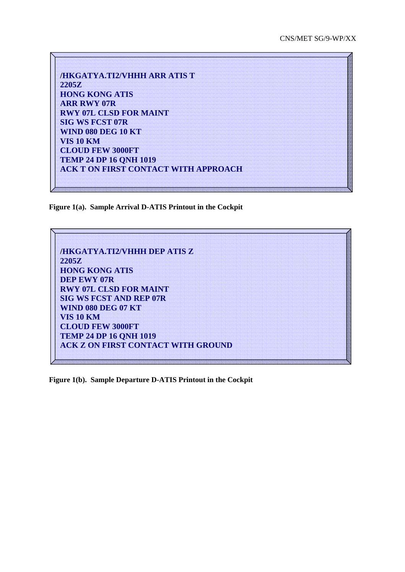| <b>/HKGATYA.TI2/VHHH ARR ATIS T</b>         |
|---------------------------------------------|
| <b>2205Z</b>                                |
| <b>HONG KONG ATIS</b>                       |
| <b>ARR RWY 07R</b>                          |
| <b>RWY 07L CLSD FOR MAINT</b>               |
| <b>SIG WS FCST 07R</b>                      |
| <b>WIND 080 DEG 10 KT</b>                   |
| <b>VIS 10 KM</b>                            |
| <b>CLOUD FEW 3000FT</b>                     |
| <b>TEMP 24 DP 16 QNH 1019</b>               |
| <b>ACK T ON FIRST CONTACT WITH APPROACH</b> |

**Figure 1(a). Sample Arrival D-ATIS Printout in the Cockpit**



**Figure 1(b). Sample Departure D-ATIS Printout in the Cockpit**